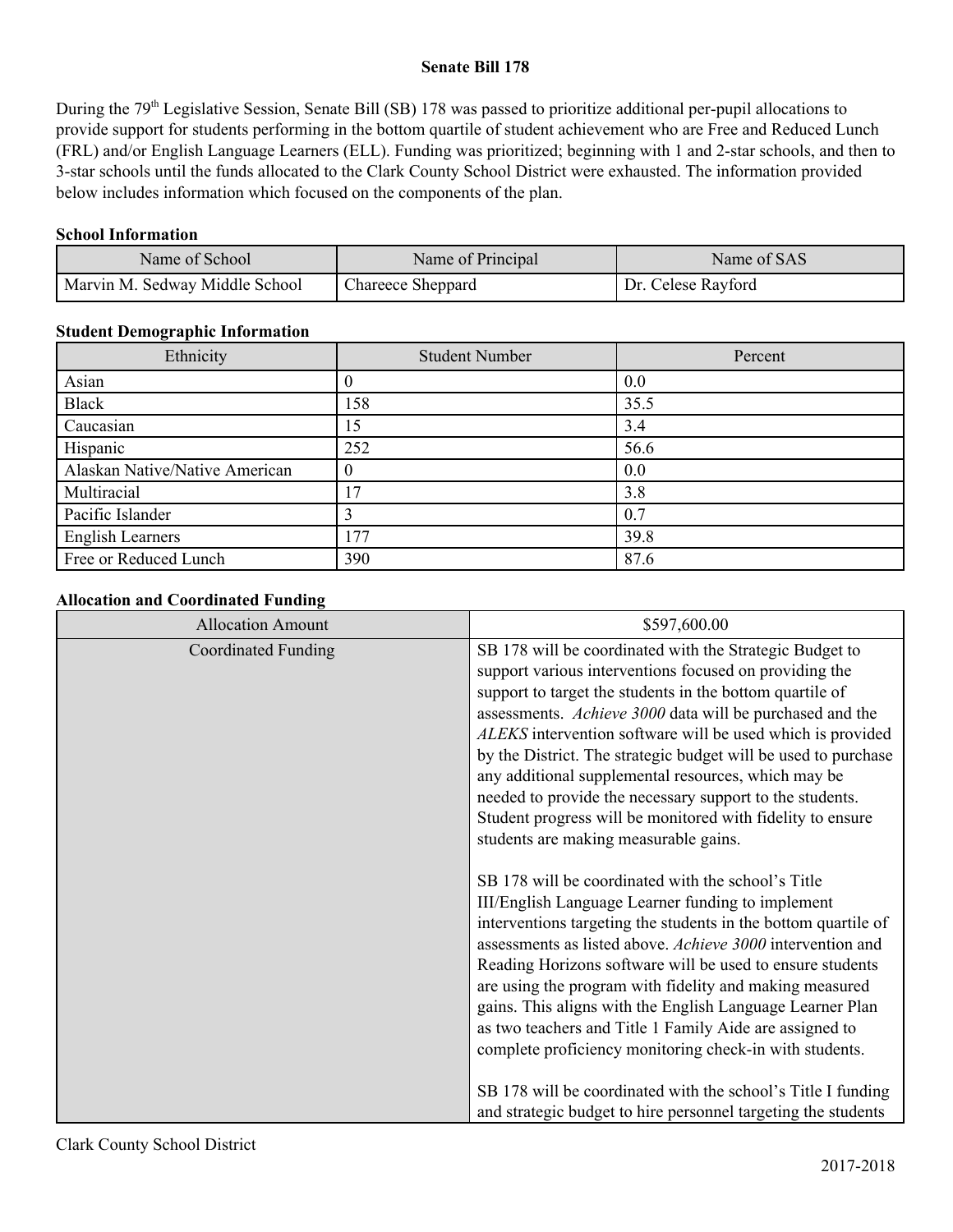#### **Senate Bill 178**

During the 79<sup>th</sup> Legislative Session, Senate Bill (SB) 178 was passed to prioritize additional per-pupil allocations to provide support for students performing in the bottom quartile of student achievement who are Free and Reduced Lunch (FRL) and/or English Language Learners (ELL). Funding was prioritized; beginning with 1 and 2-star schools, and then to 3-star schools until the funds allocated to the Clark County School District were exhausted. The information provided below includes information which focused on the components of the plan.

#### **School Information**

| Name of School                 | Name of Principal | Name of SAS        |
|--------------------------------|-------------------|--------------------|
| Marvin M. Sedway Middle School | Chareece Sheppard | Dr. Celese Rayford |

#### **Student Demographic Information**

| Ethnicity                      | <b>Student Number</b> | Percent |
|--------------------------------|-----------------------|---------|
| Asian                          |                       | 0.0     |
| <b>Black</b>                   | 158                   | 35.5    |
| Caucasian                      | 15                    | 3.4     |
| Hispanic                       | 252                   | 56.6    |
| Alaskan Native/Native American | $\theta$              | 0.0     |
| Multiracial                    | 17                    | 3.8     |
| Pacific Islander               |                       | 0.7     |
| <b>English Learners</b>        | 177                   | 39.8    |
| Free or Reduced Lunch          | 390                   | 87.6    |

## **Allocation and Coordinated Funding**

| <b>Allocation Amount</b>   | \$597,600.00                                                                                                                                                                                                                                                                                                                                                                                                                                                                                                                                                                                        |
|----------------------------|-----------------------------------------------------------------------------------------------------------------------------------------------------------------------------------------------------------------------------------------------------------------------------------------------------------------------------------------------------------------------------------------------------------------------------------------------------------------------------------------------------------------------------------------------------------------------------------------------------|
| <b>Coordinated Funding</b> | SB 178 will be coordinated with the Strategic Budget to<br>support various interventions focused on providing the<br>support to target the students in the bottom quartile of<br>assessments. Achieve 3000 data will be purchased and the<br>ALEKS intervention software will be used which is provided<br>by the District. The strategic budget will be used to purchase<br>any additional supplemental resources, which may be<br>needed to provide the necessary support to the students.<br>Student progress will be monitored with fidelity to ensure<br>students are making measurable gains. |
|                            | SB 178 will be coordinated with the school's Title<br>III/English Language Learner funding to implement<br>interventions targeting the students in the bottom quartile of<br>assessments as listed above. Achieve 3000 intervention and<br>Reading Horizons software will be used to ensure students<br>are using the program with fidelity and making measured<br>gains. This aligns with the English Language Learner Plan<br>as two teachers and Title 1 Family Aide are assigned to<br>complete proficiency monitoring check-in with students.                                                  |
|                            | SB 178 will be coordinated with the school's Title I funding<br>and strategic budget to hire personnel targeting the students                                                                                                                                                                                                                                                                                                                                                                                                                                                                       |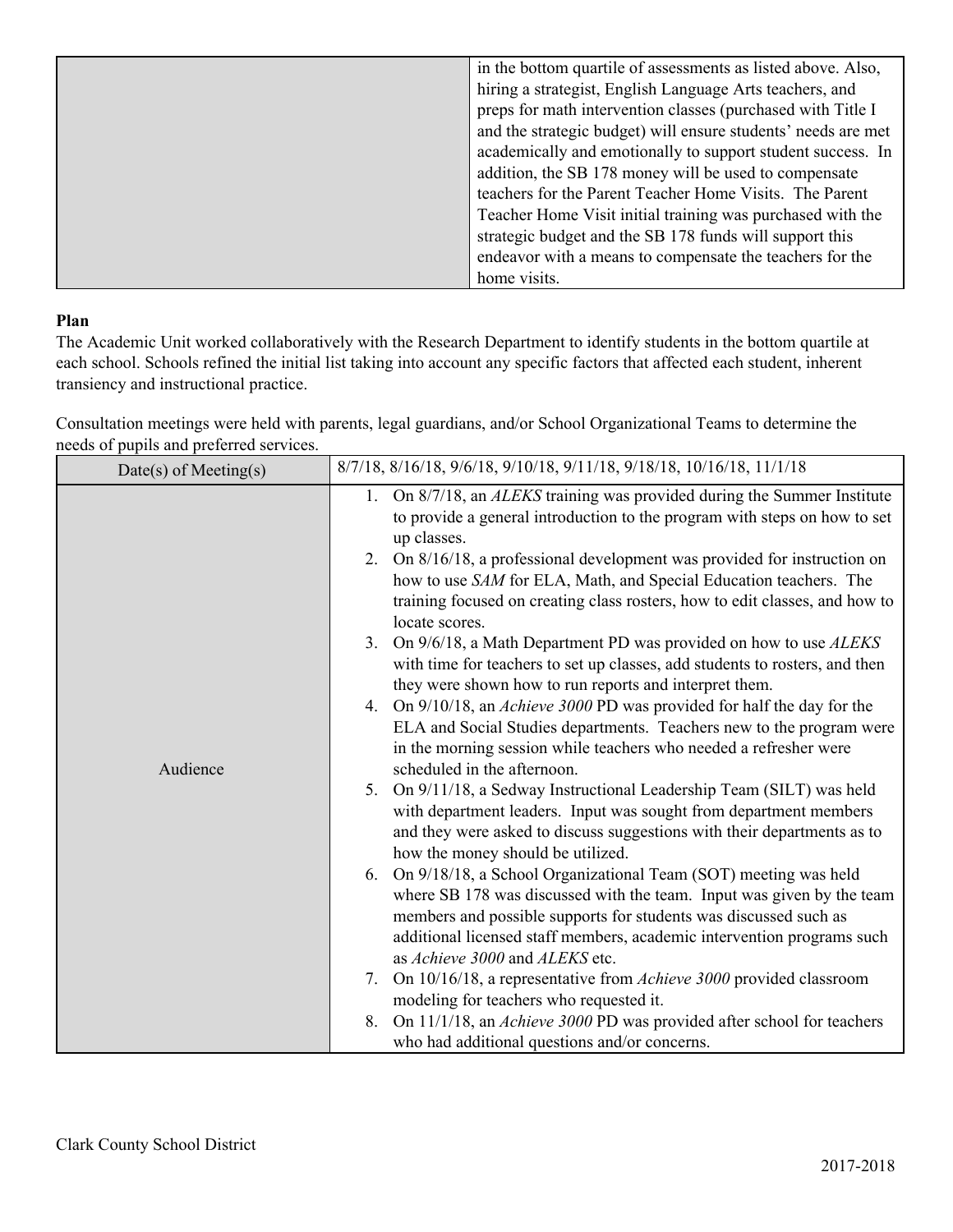| in the bottom quartile of assessments as listed above. Also,  |
|---------------------------------------------------------------|
| hiring a strategist, English Language Arts teachers, and      |
| preps for math intervention classes (purchased with Title I   |
| and the strategic budget) will ensure students' needs are met |
| academically and emotionally to support student success. In   |
| addition, the SB 178 money will be used to compensate         |
| teachers for the Parent Teacher Home Visits. The Parent       |
| Teacher Home Visit initial training was purchased with the    |
| strategic budget and the SB 178 funds will support this       |
| endeavor with a means to compensate the teachers for the      |
| home visits.                                                  |

## **Plan**

The Academic Unit worked collaboratively with the Research Department to identify students in the bottom quartile at each school. Schools refined the initial list taking into account any specific factors that affected each student, inherent transiency and instructional practice.

Consultation meetings were held with parents, legal guardians, and/or School Organizational Teams to determine the needs of pupils and preferred services.

| $Date(s)$ of Meeting(s) | 8/7/18, 8/16/18, 9/6/18, 9/10/18, 9/11/18, 9/18/18, 10/16/18, 11/1/18                                                                                                                                                                                                                                                                                                                                                                                                                                                                                                                                                                                                                                                                                                                                                                                                                                                                                                                                                                                                                                                                                                                                                                                                                                                                                                                                                                                                                                                                                                                                                                                                                                                                                                                  |
|-------------------------|----------------------------------------------------------------------------------------------------------------------------------------------------------------------------------------------------------------------------------------------------------------------------------------------------------------------------------------------------------------------------------------------------------------------------------------------------------------------------------------------------------------------------------------------------------------------------------------------------------------------------------------------------------------------------------------------------------------------------------------------------------------------------------------------------------------------------------------------------------------------------------------------------------------------------------------------------------------------------------------------------------------------------------------------------------------------------------------------------------------------------------------------------------------------------------------------------------------------------------------------------------------------------------------------------------------------------------------------------------------------------------------------------------------------------------------------------------------------------------------------------------------------------------------------------------------------------------------------------------------------------------------------------------------------------------------------------------------------------------------------------------------------------------------|
| Audience                | On 8/7/18, an <i>ALEKS</i> training was provided during the Summer Institute<br>1.<br>to provide a general introduction to the program with steps on how to set<br>up classes.<br>On 8/16/18, a professional development was provided for instruction on<br>2.<br>how to use SAM for ELA, Math, and Special Education teachers. The<br>training focused on creating class rosters, how to edit classes, and how to<br>locate scores.<br>On 9/6/18, a Math Department PD was provided on how to use ALEKS<br>3.<br>with time for teachers to set up classes, add students to rosters, and then<br>they were shown how to run reports and interpret them.<br>On 9/10/18, an <i>Achieve 3000 PD</i> was provided for half the day for the<br>4.<br>ELA and Social Studies departments. Teachers new to the program were<br>in the morning session while teachers who needed a refresher were<br>scheduled in the afternoon.<br>On 9/11/18, a Sedway Instructional Leadership Team (SILT) was held<br>5.<br>with department leaders. Input was sought from department members<br>and they were asked to discuss suggestions with their departments as to<br>how the money should be utilized.<br>6. On 9/18/18, a School Organizational Team (SOT) meeting was held<br>where SB 178 was discussed with the team. Input was given by the team<br>members and possible supports for students was discussed such as<br>additional licensed staff members, academic intervention programs such<br>as Achieve 3000 and ALEKS etc.<br>On 10/16/18, a representative from Achieve 3000 provided classroom<br>7.<br>modeling for teachers who requested it.<br>On 11/1/18, an <i>Achieve 3000</i> PD was provided after school for teachers<br>8.<br>who had additional questions and/or concerns. |
|                         |                                                                                                                                                                                                                                                                                                                                                                                                                                                                                                                                                                                                                                                                                                                                                                                                                                                                                                                                                                                                                                                                                                                                                                                                                                                                                                                                                                                                                                                                                                                                                                                                                                                                                                                                                                                        |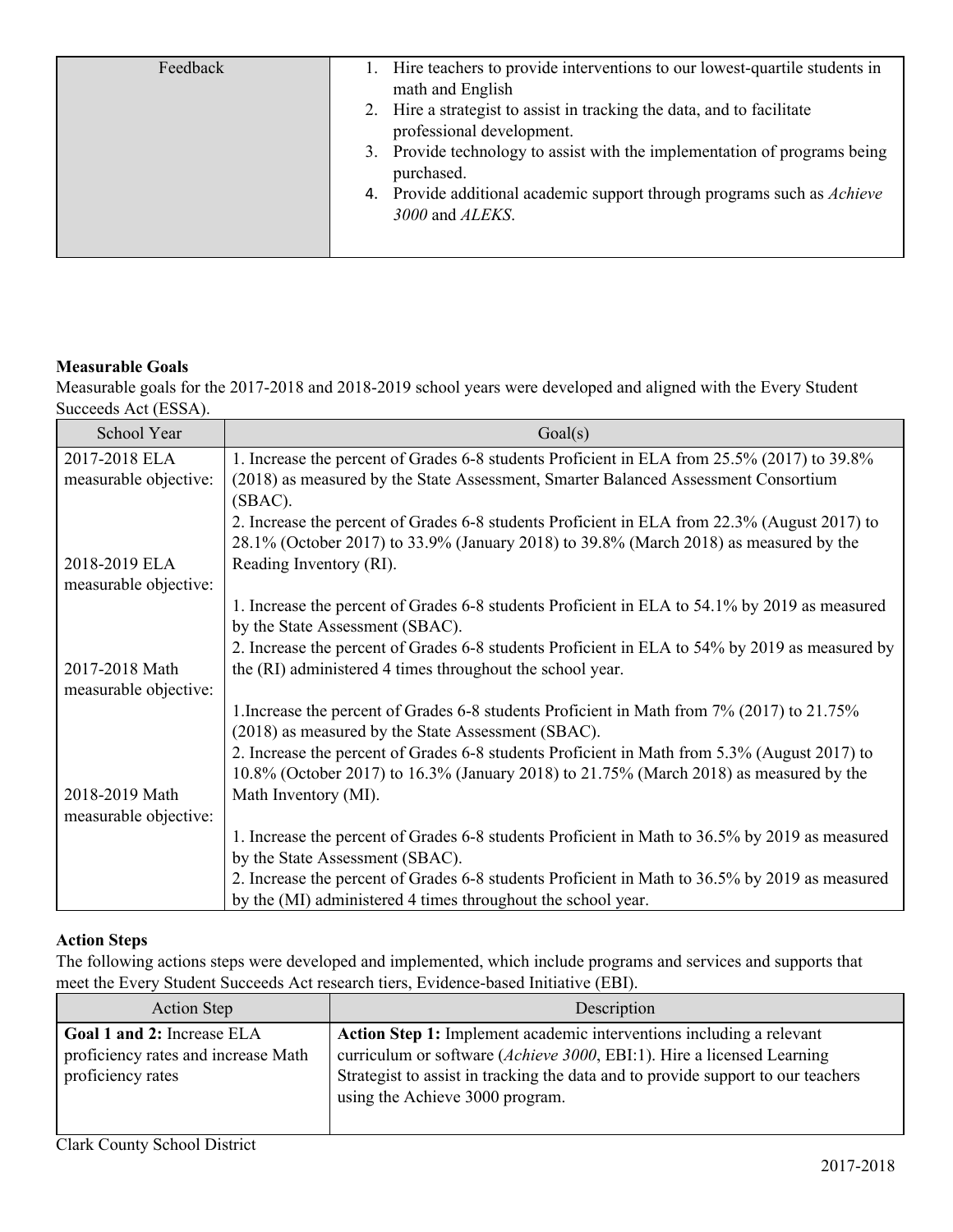| Feedback | Hire teachers to provide interventions to our lowest-quartile students in<br>math and English       |
|----------|-----------------------------------------------------------------------------------------------------|
|          | 2. Hire a strategist to assist in tracking the data, and to facilitate<br>professional development. |
|          | 3. Provide technology to assist with the implementation of programs being<br>purchased.             |
|          | 4. Provide additional academic support through programs such as <i>Achieve</i><br>3000 and ALEKS.   |
|          |                                                                                                     |

#### **Measurable Goals**

Measurable goals for the 2017-2018 and 2018-2019 school years were developed and aligned with the Every Student Succeeds Act (ESSA).

| School Year           | Goal(s)                                                                                        |
|-----------------------|------------------------------------------------------------------------------------------------|
| 2017-2018 ELA         | 1. Increase the percent of Grades 6-8 students Proficient in ELA from 25.5% (2017) to 39.8%    |
| measurable objective: | (2018) as measured by the State Assessment, Smarter Balanced Assessment Consortium             |
|                       | $(SBAC)$ .                                                                                     |
|                       | 2. Increase the percent of Grades 6-8 students Proficient in ELA from 22.3% (August 2017) to   |
|                       | 28.1% (October 2017) to 33.9% (January 2018) to 39.8% (March 2018) as measured by the          |
| 2018-2019 ELA         | Reading Inventory (RI).                                                                        |
| measurable objective: |                                                                                                |
|                       | 1. Increase the percent of Grades 6-8 students Proficient in ELA to 54.1% by 2019 as measured  |
|                       | by the State Assessment (SBAC).                                                                |
|                       | 2. Increase the percent of Grades 6-8 students Proficient in ELA to 54% by 2019 as measured by |
| 2017-2018 Math        | the (RI) administered 4 times throughout the school year.                                      |
| measurable objective: |                                                                                                |
|                       | 1. Increase the percent of Grades 6-8 students Proficient in Math from 7% (2017) to 21.75%     |
|                       | (2018) as measured by the State Assessment (SBAC).                                             |
|                       | 2. Increase the percent of Grades 6-8 students Proficient in Math from 5.3% (August 2017) to   |
|                       | 10.8% (October 2017) to 16.3% (January 2018) to 21.75% (March 2018) as measured by the         |
| 2018-2019 Math        | Math Inventory (MI).                                                                           |
| measurable objective: |                                                                                                |
|                       | 1. Increase the percent of Grades 6-8 students Proficient in Math to 36.5% by 2019 as measured |
|                       | by the State Assessment (SBAC).                                                                |
|                       | 2. Increase the percent of Grades 6-8 students Proficient in Math to 36.5% by 2019 as measured |
|                       | by the (MI) administered 4 times throughout the school year.                                   |

## **Action Steps**

The following actions steps were developed and implemented, which include programs and services and supports that meet the Every Student Succeeds Act research tiers, Evidence-based Initiative (EBI).

| <b>Action Step</b>                                                                     | Description                                                                                                                                                                                                                                                           |
|----------------------------------------------------------------------------------------|-----------------------------------------------------------------------------------------------------------------------------------------------------------------------------------------------------------------------------------------------------------------------|
| Goal 1 and 2: Increase ELA<br>proficiency rates and increase Math<br>proficiency rates | Action Step 1: Implement academic interventions including a relevant<br>curriculum or software (Achieve 3000, EBI:1). Hire a licensed Learning<br>Strategist to assist in tracking the data and to provide support to our teachers<br>using the Achieve 3000 program. |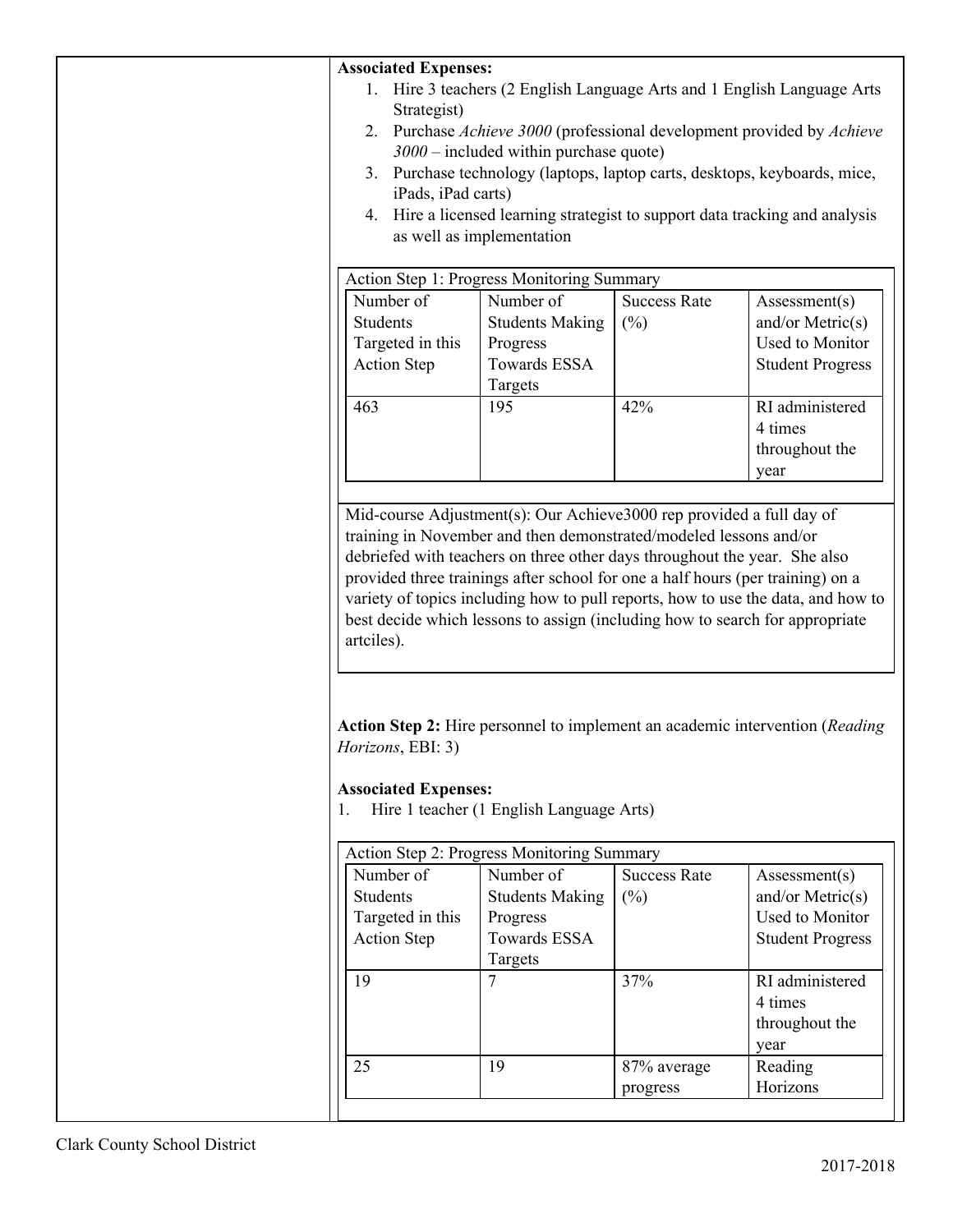| <b>Associated Expenses:</b>                                                          |                                                                                                                                                                                                                                                                                                                                                                                                            |                     |                                                                                                                                                                  |
|--------------------------------------------------------------------------------------|------------------------------------------------------------------------------------------------------------------------------------------------------------------------------------------------------------------------------------------------------------------------------------------------------------------------------------------------------------------------------------------------------------|---------------------|------------------------------------------------------------------------------------------------------------------------------------------------------------------|
| Hire 3 teachers (2 English Language Arts and 1 English Language Arts<br>1.           |                                                                                                                                                                                                                                                                                                                                                                                                            |                     |                                                                                                                                                                  |
| Strategist)                                                                          |                                                                                                                                                                                                                                                                                                                                                                                                            |                     |                                                                                                                                                                  |
| 2. Purchase Achieve 3000 (professional development provided by Achieve               |                                                                                                                                                                                                                                                                                                                                                                                                            |                     |                                                                                                                                                                  |
|                                                                                      | $3000$ – included within purchase quote)                                                                                                                                                                                                                                                                                                                                                                   |                     |                                                                                                                                                                  |
| 3.                                                                                   | Purchase technology (laptops, laptop carts, desktops, keyboards, mice,                                                                                                                                                                                                                                                                                                                                     |                     |                                                                                                                                                                  |
| iPads, iPad carts)                                                                   |                                                                                                                                                                                                                                                                                                                                                                                                            |                     |                                                                                                                                                                  |
| 4.                                                                                   |                                                                                                                                                                                                                                                                                                                                                                                                            |                     | Hire a licensed learning strategist to support data tracking and analysis                                                                                        |
|                                                                                      | as well as implementation                                                                                                                                                                                                                                                                                                                                                                                  |                     |                                                                                                                                                                  |
|                                                                                      |                                                                                                                                                                                                                                                                                                                                                                                                            |                     |                                                                                                                                                                  |
|                                                                                      | Action Step 1: Progress Monitoring Summary                                                                                                                                                                                                                                                                                                                                                                 |                     |                                                                                                                                                                  |
| Number of                                                                            | Number of                                                                                                                                                                                                                                                                                                                                                                                                  | <b>Success Rate</b> | Assessment(s)                                                                                                                                                    |
| Students                                                                             | <b>Students Making</b>                                                                                                                                                                                                                                                                                                                                                                                     | $(\%)$              | and/or Metric $(s)$                                                                                                                                              |
| Targeted in this                                                                     | Progress                                                                                                                                                                                                                                                                                                                                                                                                   |                     | Used to Monitor                                                                                                                                                  |
| <b>Action Step</b>                                                                   | Towards ESSA                                                                                                                                                                                                                                                                                                                                                                                               |                     | <b>Student Progress</b>                                                                                                                                          |
|                                                                                      | Targets                                                                                                                                                                                                                                                                                                                                                                                                    |                     |                                                                                                                                                                  |
| 463                                                                                  | 195                                                                                                                                                                                                                                                                                                                                                                                                        | 42%                 | RI administered                                                                                                                                                  |
|                                                                                      |                                                                                                                                                                                                                                                                                                                                                                                                            |                     | 4 times                                                                                                                                                          |
|                                                                                      |                                                                                                                                                                                                                                                                                                                                                                                                            |                     | throughout the                                                                                                                                                   |
|                                                                                      |                                                                                                                                                                                                                                                                                                                                                                                                            |                     | year                                                                                                                                                             |
|                                                                                      |                                                                                                                                                                                                                                                                                                                                                                                                            |                     |                                                                                                                                                                  |
| artciles).<br><i>Horizons</i> , <i>EBI</i> : 3)<br><b>Associated Expenses:</b><br>1. | training in November and then demonstrated/modeled lessons and/or<br>debriefed with teachers on three other days throughout the year. She also<br>provided three trainings after school for one a half hours (per training) on a<br>best decide which lessons to assign (including how to search for appropriate<br>Hire 1 teacher (1 English Language Arts)<br>Action Step 2: Progress Monitoring Summary |                     | variety of topics including how to pull reports, how to use the data, and how to<br>Action Step 2: Hire personnel to implement an academic intervention (Reading |
|                                                                                      |                                                                                                                                                                                                                                                                                                                                                                                                            |                     |                                                                                                                                                                  |
| Number of                                                                            | Number of                                                                                                                                                                                                                                                                                                                                                                                                  | <b>Success Rate</b> | Assessment(s)                                                                                                                                                    |
| <b>Students</b>                                                                      | <b>Students Making</b>                                                                                                                                                                                                                                                                                                                                                                                     | $(\%)$              | and/or Metric $(s)$                                                                                                                                              |
| Targeted in this                                                                     | Progress                                                                                                                                                                                                                                                                                                                                                                                                   |                     | <b>Used to Monitor</b>                                                                                                                                           |
| <b>Action Step</b>                                                                   | <b>Towards ESSA</b>                                                                                                                                                                                                                                                                                                                                                                                        |                     | <b>Student Progress</b>                                                                                                                                          |
|                                                                                      | Targets                                                                                                                                                                                                                                                                                                                                                                                                    |                     |                                                                                                                                                                  |
| 19                                                                                   | $\overline{7}$                                                                                                                                                                                                                                                                                                                                                                                             | 37%                 | RI administered                                                                                                                                                  |
|                                                                                      |                                                                                                                                                                                                                                                                                                                                                                                                            |                     | 4 times                                                                                                                                                          |
|                                                                                      |                                                                                                                                                                                                                                                                                                                                                                                                            |                     | throughout the                                                                                                                                                   |
|                                                                                      |                                                                                                                                                                                                                                                                                                                                                                                                            |                     | year                                                                                                                                                             |
| 25                                                                                   | 19                                                                                                                                                                                                                                                                                                                                                                                                         | 87% average         | Reading                                                                                                                                                          |
|                                                                                      |                                                                                                                                                                                                                                                                                                                                                                                                            | progress            | Horizons                                                                                                                                                         |
|                                                                                      |                                                                                                                                                                                                                                                                                                                                                                                                            |                     |                                                                                                                                                                  |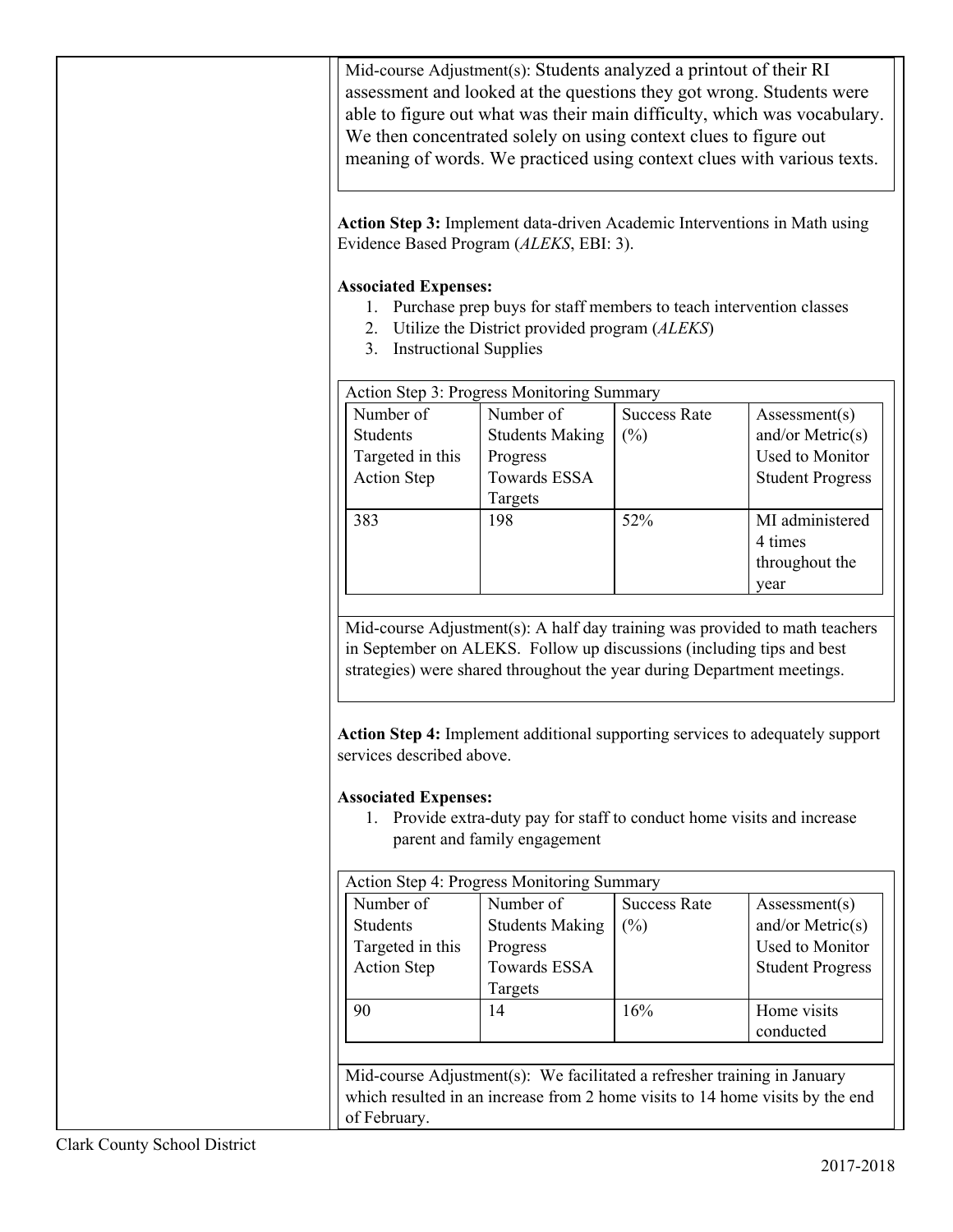Mid-course Adjustment(s): Students analyzed a printout of their RI assessment and looked at the questions they got wrong. Students were able to figure out what was their main difficulty, which was vocabulary. We then concentrated solely on using context clues to figure out meaning of words. We practiced using context clues with various texts.

**Action Step 3:** Implement data-driven Academic Interventions in Math using Evidence Based Program (*ALEKS*, EBI: 3).

# **Associated Expenses:**

- 1. Purchase prep buys for staff members to teach intervention classes
- 2. Utilize the District provided program (*ALEKS*)
- 3. Instructional Supplies

| Action Step 3: Progress Monitoring Summary |                        |                     |                         |
|--------------------------------------------|------------------------|---------------------|-------------------------|
| Number of                                  | Number of              | <b>Success Rate</b> | Assessment(s)           |
| <b>Students</b>                            | <b>Students Making</b> | $(\%)$              | and/or Metric $(s)$     |
| Targeted in this                           | Progress               |                     | <b>Used to Monitor</b>  |
| <b>Action Step</b>                         | <b>Towards ESSA</b>    |                     | <b>Student Progress</b> |
|                                            | Targets                |                     |                         |
| 383                                        | 198                    | 52%                 | MI administered         |
|                                            |                        |                     | 4 times                 |
|                                            |                        |                     | throughout the          |
|                                            |                        |                     | year                    |

Mid-course Adjustment(s): A half day training was provided to math teachers in September on ALEKS. Follow up discussions (including tips and best strategies) were shared throughout the year during Department meetings.

**Action Step 4:** Implement additional supporting services to adequately support services described above.

## **Associated Expenses:**

1. Provide extra-duty pay for staff to conduct home visits and increase parent and family engagement

| Action Step 4: Progress Monitoring Summary |                        |                     |                         |
|--------------------------------------------|------------------------|---------------------|-------------------------|
| Number of                                  | Number of              | <b>Success Rate</b> | Assessment(s)           |
| <b>Students</b>                            | <b>Students Making</b> | $(\%)$              | and/or Metric $(s)$     |
| Targeted in this                           | Progress               |                     | <b>Used to Monitor</b>  |
| <b>Action Step</b>                         | Towards ESSA           |                     | <b>Student Progress</b> |
|                                            | Targets                |                     |                         |
| 90                                         | 14                     | 16%                 | Home visits             |
|                                            |                        |                     | conducted               |

Mid-course Adjustment(s): We facilitated a refresher training in January which resulted in an increase from 2 home visits to 14 home visits by the end of February.